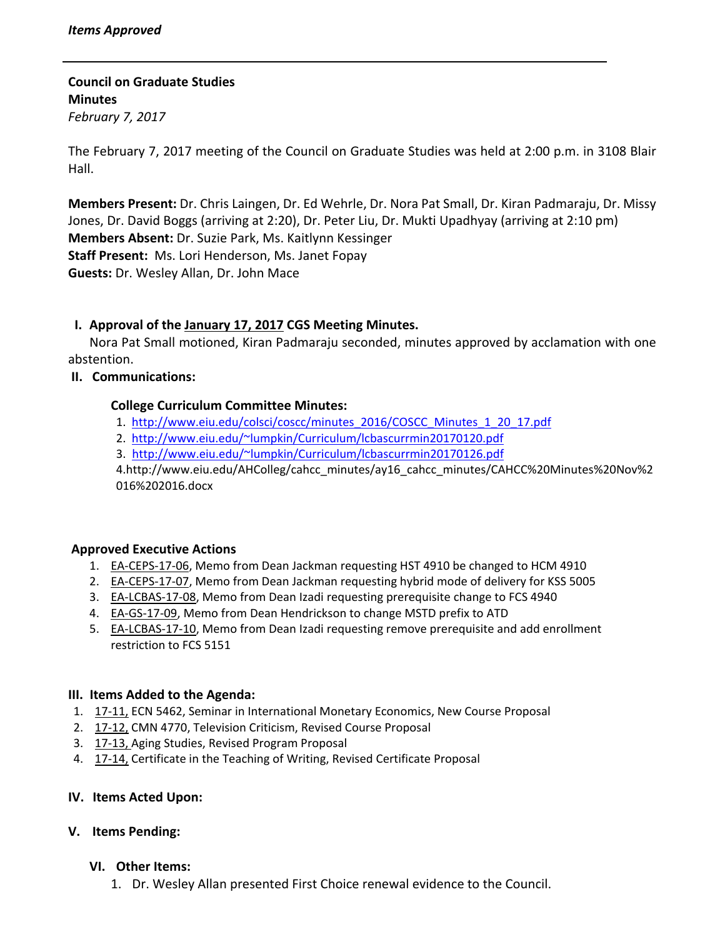**Council on Graduate Studies Minutes**

*February 7, 2017*

The February 7, 2017 meeting of the Council on Graduate Studies was held at 2:00 p.m. in 3108 Blair Hall.

**Members Present:** Dr. Chris Laingen, Dr. Ed Wehrle, Dr. Nora Pat Small, Dr. Kiran Padmaraju, Dr. Missy Jones, Dr. David Boggs (arriving at 2:20), Dr. Peter Liu, Dr. Mukti Upadhyay (arriving at 2:10 pm) **Members Absent:** Dr. Suzie Park, Ms. Kaitlynn Kessinger **Staff Present:** Ms. Lori Henderson, Ms. Janet Fopay **Guests:** Dr. Wesley Allan, Dr. John Mace

# **I. Approval of the [January](http://castle.eiu.edu/eiucgs/currentminutes/Minutes1-17-17.pdf) 17, 2017 CGS Meeting Minutes.**

Nora Pat Small motioned, Kiran Padmaraju seconded, minutes approved by acclamation with one abstention.

## **II. Communications:**

## **College Curriculum Committee Minutes:**

- 1. [http://www.eiu.edu/colsci/coscc/minutes\\_2016/COSCC\\_Minutes\\_1\\_20\\_17.pdf](http://www.eiu.edu/colsci/coscc/minutes_2016/COSCC_Minutes_1_20_17.pdf)
- 2. <http://www.eiu.edu/~lumpkin/Curriculum/lcbascurrmin20170120.pdf>
- 3. <http://www.eiu.edu/~lumpkin/Curriculum/lcbascurrmin20170126.pdf>

4[.http://www.eiu.edu/A](http://www.eiu.edu/AHColleg/cahcc_minutes/ay16_cahcc_minutes/CAHCC%20Minutes%7Dec%2016%202016.docx)HColleg/cahcc\_minutes/ay16\_cahcc\_minutes/CAHCC%20Minutes%20Nov%2 016%202016.docx

## **Approved Executive Actions**

- 1. EA-[CEPS](http://castle.eiu.edu/eiucgs/exec-actions/EA-CEPS-17-06.pdf)-17-06, Memo from Dean Jackman requesting HST 4910 be changed to HCM 4910
- 2. **EA-[CEPS](http://castle.eiu.edu/eiucgs/exec-actions/EA-CEPS-17-07.pdf)-17-07**, Memo from Dean Jackman requesting hybrid mode of delivery for KSS 5005
- 3. EA-[LCBAS](http://castle.eiu.edu/eiucgs/exec-actions/EA-LCBAS-17-08.pdf)-17-08, Memo from Dean Izadi requesting prerequisite change to FCS 4940
- 4. EA‐GS‐17‐[09,](http://castle.eiu.edu/eiucgs/exec-actions/EA-GS-17-09.pdf) Memo from Dean Hendrickson to change MSTD prefix to ATD
- 5. **EA-[LCBAS](http://castle.eiu.edu/eiucgs/exec-actions/EA-LCBAS-17-10.pdf)-17-10**, Memo from Dean Izadi requesting remove prerequisite and add enrollment restriction to FCS 5151

## **III. Items Added to the Agenda:**

- 1. 17-[11,](http://castle.eiu.edu/eiucgs/currentagendaitems/agenda17-11.pdf) ECN 5462, Seminar in International Monetary Economics, New Course Proposal
- 2. 17‐[12,](http://castle.eiu.edu/eiucgs/currentagendaitems/agenda17-12.pdf) CMN 4770, Television Criticism, Revised Course Proposal
- 3. 17‐[13,](http://castle.eiu.edu/eiucgs/currentagendaitems/agenda17-13.pdf) Aging Studies, Revised Program Proposal
- 4. 17‐[14,](http://castle.eiu.edu/eiucgs/currentagendaitems/agenda17-14.pdf) Certificate in the Teaching of Writing, Revised Certificate Proposal

## **IV. Items Acted Upon:**

## **V. Items Pending:**

## **VI. Other Items:**

1. Dr. Wesley Allan presented First Choice renewal evidence to the Council.